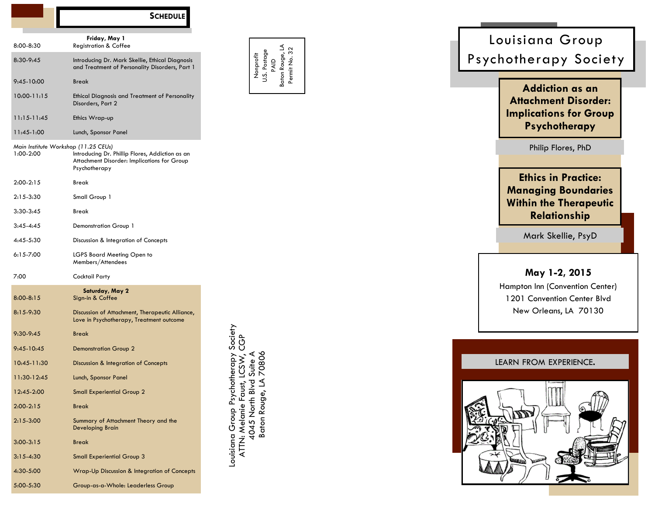|                 | <b>SCHEDULE</b>                                                                                                                                         |                                                                                    |
|-----------------|---------------------------------------------------------------------------------------------------------------------------------------------------------|------------------------------------------------------------------------------------|
|                 | Friday, May 1                                                                                                                                           |                                                                                    |
| 8:00-8:30       | <b>Registration &amp; Coffee</b>                                                                                                                        |                                                                                    |
| 8:30-9:45       | Introducing Dr. Mark Skellie, Ethical Diagnosis<br>and Treatment of Personality Disorders, Part 1                                                       | Postage<br>Nonprofit                                                               |
| $9:45-10:00$    | Break                                                                                                                                                   |                                                                                    |
| $10:00 - 11:15$ | <b>Ethical Diagnosis and Treatment of Personality</b><br>Disorders, Part 2                                                                              |                                                                                    |
| $11:15-11:45$   | Ethics Wrap-up                                                                                                                                          |                                                                                    |
| 11:45-1:00      | Lunch, Sponsor Panel                                                                                                                                    |                                                                                    |
| 1:00-2:00       | Main Institute Workshop (11.25 CEUs)<br>Introducing Dr. Phillip Flores, Addiction as an<br>Attachment Disorder: Implications for Group<br>Psychotherapy |                                                                                    |
| $2:00-2:15$     | Break                                                                                                                                                   |                                                                                    |
| $2:15-3:30$     | Small Group 1                                                                                                                                           |                                                                                    |
| $3:30-3:45$     | Break                                                                                                                                                   |                                                                                    |
| $3:45 - 4:45$   | Demonstration Group 1                                                                                                                                   |                                                                                    |
| 4:45-5:30       | Discussion & Integration of Concepts                                                                                                                    |                                                                                    |
| $6:15 - 7:00$   | LGPS Board Meeting Open to<br>Members/Attendees                                                                                                         |                                                                                    |
| 7:00            | Cocktail Party                                                                                                                                          |                                                                                    |
| $8:00 - 8:15$   | Saturday, May 2<br>Sign-in & Coffee                                                                                                                     |                                                                                    |
| $8:15-9:30$     | Discussion of Attachment, Therapeutic Alliance,<br>Love in Psychotherapy, Treatment outcome                                                             |                                                                                    |
| $9:30 - 9:45$   | <b>Break</b>                                                                                                                                            |                                                                                    |
| $9:45 - 10:45$  | <b>Demonstration Group 2</b>                                                                                                                            | apy Society                                                                        |
| 10:45-11:30     | Discussion & Integration of Concepts                                                                                                                    |                                                                                    |
| 11:30-12:45     | Lunch, Sponsor Panel                                                                                                                                    |                                                                                    |
| 12:45-2:00      | <b>Small Experiential Group 2</b>                                                                                                                       |                                                                                    |
| $2:00 - 2:15$   | <b>Break</b>                                                                                                                                            |                                                                                    |
| $2:15-3:00$     | Summary of Attachment Theory and the<br>Developing Brain                                                                                                | Louisiana Group Psychoth<br>4045 North Blvd<br>ATTN: Melanie Faust<br>Baton Rouge, |
| $3:00 - 3:15$   | <b>Break</b>                                                                                                                                            |                                                                                    |
| $3:15 - 4:30$   | <b>Small Experiential Group 3</b>                                                                                                                       |                                                                                    |
| 4:30-5:00       | Wrap-Up Discussion & Integration of Concepts                                                                                                            |                                                                                    |
| 5:00-5:30       | Group-as-a-Whole: Leaderless Group                                                                                                                      |                                                                                    |

Baton Rouge, LA Permit No. 32

# Philip Flores, PhD **May 1 -2, 2015** Hampton Inn (Convention Center) New Orleans, LA 70130 Psychotherapy Society **Addiction as an Attachment Disorder: Implications for Group Psychotherapy** LEARN FROM EXPERIENCE. **Ethics in Practice: Managing Boundaries Within the Therapeutic Relationship** Mark Skellie, PsyD

Louisiana Group

1201 Convention Center Blvd